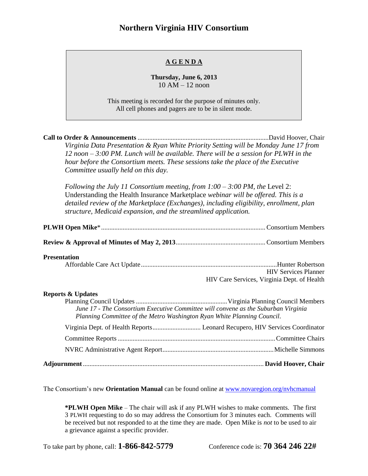## **Northern Virginia HIV Consortium**

## **A G E N D A**

**Thursday, June 6, 2013** 10 AM – 12 noon

This meeting is recorded for the purpose of minutes only. All cell phones and pagers are to be in silent mode.

| Virginia Data Presentation & Ryan White Priority Setting will be Monday June 17 from<br>$12$ noon $-3:00$ PM. Lunch will be available. There will be a session for PLWH in the<br>hour before the Consortium meets. These sessions take the place of the Executive<br>Committee usually held on this day.                      |                                                                            |
|--------------------------------------------------------------------------------------------------------------------------------------------------------------------------------------------------------------------------------------------------------------------------------------------------------------------------------|----------------------------------------------------------------------------|
| Following the July 11 Consortium meeting, from $1:00-3:00$ PM, the Level 2:<br>Understanding the Health Insurance Marketplace webinar will be offered. This is a<br>detailed review of the Marketplace (Exchanges), including eligibility, enrollment, plan<br>structure, Medicaid expansion, and the streamlined application. |                                                                            |
|                                                                                                                                                                                                                                                                                                                                |                                                                            |
|                                                                                                                                                                                                                                                                                                                                |                                                                            |
| <b>Presentation</b>                                                                                                                                                                                                                                                                                                            | <b>HIV Services Planner</b><br>HIV Care Services, Virginia Dept. of Health |
| <b>Reports &amp; Updates</b><br>June 17 - The Consortium Executive Committee will convene as the Suburban Virginia<br>Planning Committee of the Metro Washington Ryan White Planning Council.                                                                                                                                  |                                                                            |
| Virginia Dept. of Health Reports Leonard Recupero, HIV Services Coordinator                                                                                                                                                                                                                                                    |                                                                            |
|                                                                                                                                                                                                                                                                                                                                |                                                                            |
|                                                                                                                                                                                                                                                                                                                                |                                                                            |
|                                                                                                                                                                                                                                                                                                                                |                                                                            |

The Consortium's new **Orientation Manual** can be found online at [www.novaregion.org/nvhcmanual](http://www.novaregion.org/nvhcmanual)

**\*PLWH Open Mike** – The chair will ask if any PLWH wishes to make comments. The first 3 PLWH requesting to do so may address the Consortium for 3 minutes each. Comments will be received but not responded to at the time they are made. Open Mike is *not* to be used to air a grievance against a specific provider.